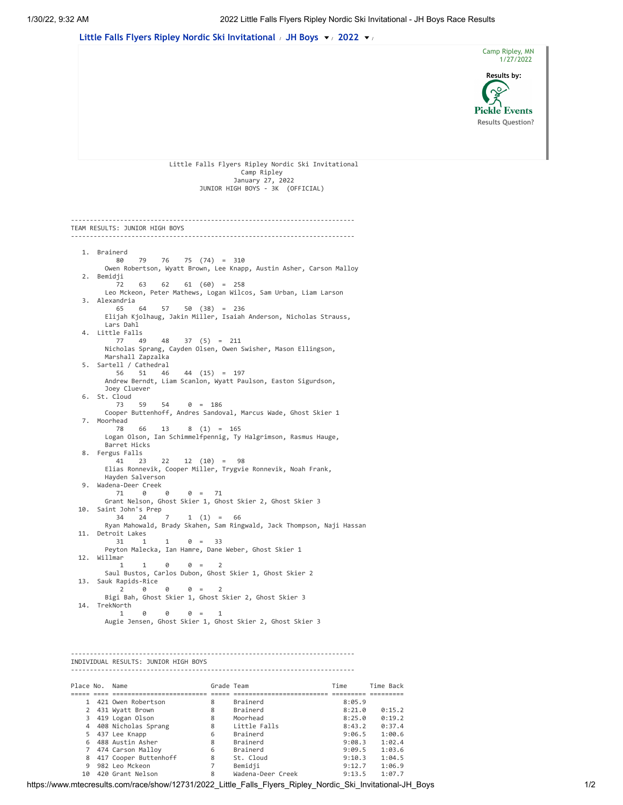

| Place No. | Name                  | Grade Team |                   | Time   | Time Back |
|-----------|-----------------------|------------|-------------------|--------|-----------|
|           |                       |            |                   |        |           |
|           | 421 Owen Robertson    | 8          | Brainerd          | 8:05.9 |           |
|           | 431 Wyatt Brown       | 8          | Brainerd          | 8:21.0 | 0:15.2    |
|           | 419 Logan Olson       | 8          | Moorhead          | 8:25.0 | 0:19.2    |
| 4         | 408 Nicholas Sprang   | 8          | Little Falls      | 8:43.2 | 0:37.4    |
| 5         | 437 Lee Knapp         | 6          | Brainerd          | 9:06.5 | 1:00.6    |
| 6.        | 488 Austin Asher      | 8          | Brainerd          | 9:08.3 | 1:02.4    |
|           | 474 Carson Malloy     | 6          | Brainerd          | 9:09.5 | 1:03.6    |
| 8         | 417 Cooper Buttenhoff | 8          | St. Cloud         | 9:10.3 | 1:04.5    |
|           | 982 Leo Mckeon        |            | Bemidji           | 9:12.7 | 1:06.9    |
| 10        | 420 Grant Nelson      | 8          | Wadena-Deer Creek | 9:13.5 | 1:07.7    |